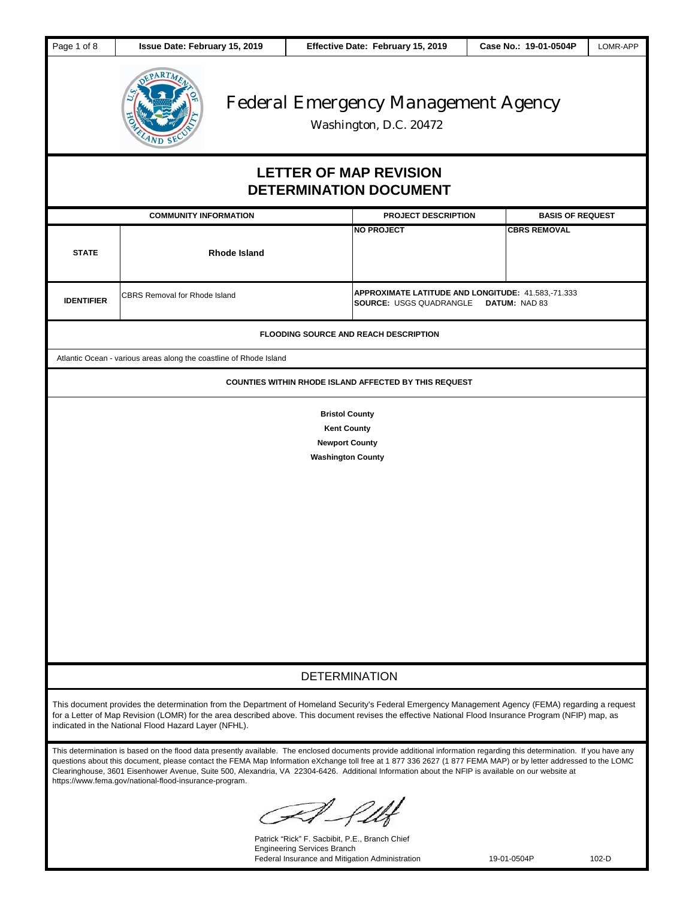| Page 1 of 8                                                                                                                                                                                                                                                                                                                                                         | Issue Date: February 15, 2019                                                                                                                                                                                                                                                                                                                                                                                                                                                                                                                            |                                                                                                                                         | Effective Date: February 15, 2019                              | Case No.: 19-01-0504P   | LOMR-APP |  |
|---------------------------------------------------------------------------------------------------------------------------------------------------------------------------------------------------------------------------------------------------------------------------------------------------------------------------------------------------------------------|----------------------------------------------------------------------------------------------------------------------------------------------------------------------------------------------------------------------------------------------------------------------------------------------------------------------------------------------------------------------------------------------------------------------------------------------------------------------------------------------------------------------------------------------------------|-----------------------------------------------------------------------------------------------------------------------------------------|----------------------------------------------------------------|-------------------------|----------|--|
| <b>Federal Emergency Management Agency</b><br>Washington, D.C. 20472                                                                                                                                                                                                                                                                                                |                                                                                                                                                                                                                                                                                                                                                                                                                                                                                                                                                          |                                                                                                                                         |                                                                |                         |          |  |
|                                                                                                                                                                                                                                                                                                                                                                     |                                                                                                                                                                                                                                                                                                                                                                                                                                                                                                                                                          |                                                                                                                                         | <b>LETTER OF MAP REVISION</b><br><b>DETERMINATION DOCUMENT</b> |                         |          |  |
|                                                                                                                                                                                                                                                                                                                                                                     | <b>COMMUNITY INFORMATION</b>                                                                                                                                                                                                                                                                                                                                                                                                                                                                                                                             |                                                                                                                                         | <b>PROJECT DESCRIPTION</b>                                     | <b>BASIS OF REQUEST</b> |          |  |
| <b>STATE</b>                                                                                                                                                                                                                                                                                                                                                        | Rhode Island                                                                                                                                                                                                                                                                                                                                                                                                                                                                                                                                             |                                                                                                                                         | <b>NO PROJECT</b>                                              | <b>CBRS REMOVAL</b>     |          |  |
| <b>IDENTIFIER</b>                                                                                                                                                                                                                                                                                                                                                   | APPROXIMATE LATITUDE AND LONGITUDE: 41.583,-71.333<br><b>CBRS Removal for Rhode Island</b><br><b>SOURCE: USGS QUADRANGLE</b><br>DATUM: NAD 83                                                                                                                                                                                                                                                                                                                                                                                                            |                                                                                                                                         |                                                                |                         |          |  |
| <b>FLOODING SOURCE AND REACH DESCRIPTION</b>                                                                                                                                                                                                                                                                                                                        |                                                                                                                                                                                                                                                                                                                                                                                                                                                                                                                                                          |                                                                                                                                         |                                                                |                         |          |  |
|                                                                                                                                                                                                                                                                                                                                                                     | Atlantic Ocean - various areas along the coastline of Rhode Island                                                                                                                                                                                                                                                                                                                                                                                                                                                                                       |                                                                                                                                         |                                                                |                         |          |  |
|                                                                                                                                                                                                                                                                                                                                                                     |                                                                                                                                                                                                                                                                                                                                                                                                                                                                                                                                                          |                                                                                                                                         | <b>COUNTIES WITHIN RHODE ISLAND AFFECTED BY THIS REQUEST</b>   |                         |          |  |
|                                                                                                                                                                                                                                                                                                                                                                     |                                                                                                                                                                                                                                                                                                                                                                                                                                                                                                                                                          | <b>Bristol County</b><br><b>Kent County</b><br><b>Newport County</b><br><b>Washington County</b>                                        |                                                                |                         |          |  |
|                                                                                                                                                                                                                                                                                                                                                                     |                                                                                                                                                                                                                                                                                                                                                                                                                                                                                                                                                          | <b>DETERMINATION</b>                                                                                                                    |                                                                |                         |          |  |
| This document provides the determination from the Department of Homeland Security's Federal Emergency Management Agency (FEMA) regarding a request<br>for a Letter of Map Revision (LOMR) for the area described above. This document revises the effective National Flood Insurance Program (NFIP) map, as<br>indicated in the National Flood Hazard Layer (NFHL). |                                                                                                                                                                                                                                                                                                                                                                                                                                                                                                                                                          |                                                                                                                                         |                                                                |                         |          |  |
|                                                                                                                                                                                                                                                                                                                                                                     | This determination is based on the flood data presently available. The enclosed documents provide additional information regarding this determination. If you have any<br>questions about this document, please contact the FEMA Map Information eXchange toll free at 1 877 336 2627 (1 877 FEMA MAP) or by letter addressed to the LOMC<br>Clearinghouse, 3601 Eisenhower Avenue, Suite 500, Alexandria, VA 22304-6426. Additional Information about the NFIP is available on our website at<br>https://www.fema.gov/national-flood-insurance-program. | II felt                                                                                                                                 |                                                                |                         |          |  |
|                                                                                                                                                                                                                                                                                                                                                                     |                                                                                                                                                                                                                                                                                                                                                                                                                                                                                                                                                          | Patrick "Rick" F. Sacbibit, P.E., Branch Chief<br><b>Engineering Services Branch</b><br>Federal Insurance and Mitigation Administration |                                                                | 19-01-0504P             | $102-D$  |  |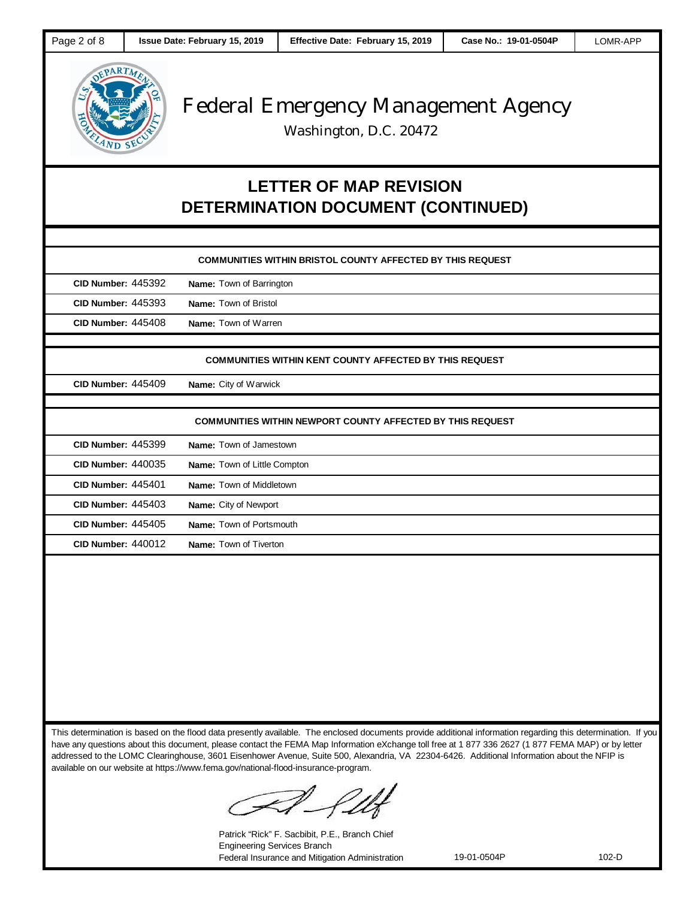

Washington, D.C. 20472

## **LETTER OF MAP REVISION DETERMINATION DOCUMENT (CONTINUED)**

|                           | <b>COMMUNITIES WITHIN BRISTOL COUNTY AFFECTED BY THIS REQUEST</b> |
|---------------------------|-------------------------------------------------------------------|
| <b>CID Number: 445392</b> | Name: Town of Barrington                                          |
| <b>CID Number: 445393</b> | Name: Town of Bristol                                             |
| <b>CID Number: 445408</b> | Name: Town of Warren                                              |
|                           |                                                                   |
|                           | <b>COMMUNITIES WITHIN KENT COUNTY AFFECTED BY THIS REQUEST</b>    |
| <b>CID Number: 445409</b> | Name: City of Warwick                                             |
|                           |                                                                   |
|                           | <b>COMMUNITIES WITHIN NEWPORT COUNTY AFFECTED BY THIS REQUEST</b> |
| <b>CID Number: 445399</b> | Name: Town of Jamestown                                           |
| <b>CID Number: 440035</b> | Name: Town of Little Compton                                      |
| <b>CID Number: 445401</b> | Name: Town of Middletown                                          |
| <b>CID Number: 445403</b> | Name: City of Newport                                             |
| <b>CID Number: 445405</b> | Name: Town of Portsmouth                                          |
| <b>CID Number: 440012</b> | Name: Town of Tiverton                                            |
|                           |                                                                   |
|                           |                                                                   |
|                           |                                                                   |
|                           |                                                                   |

This determination is based on the flood data presently available. The enclosed documents provide additional information regarding this determination. If you have any questions about this document, please contact the FEMA Map Information eXchange toll free at 1 877 336 2627 (1 877 FEMA MAP) or by letter addressed to the LOMC Clearinghouse, 3601 Eisenhower Avenue, Suite 500, Alexandria, VA 22304-6426. Additional Information about the NFIP is available on our website at https://www.fema.gov/national-flood-insurance-program.

Patrick "Rick" F. Sacbibit, P.E., Branch Chief Engineering Services Branch Federal Insurance and Mitigation Administration 19-01-0504P 102-D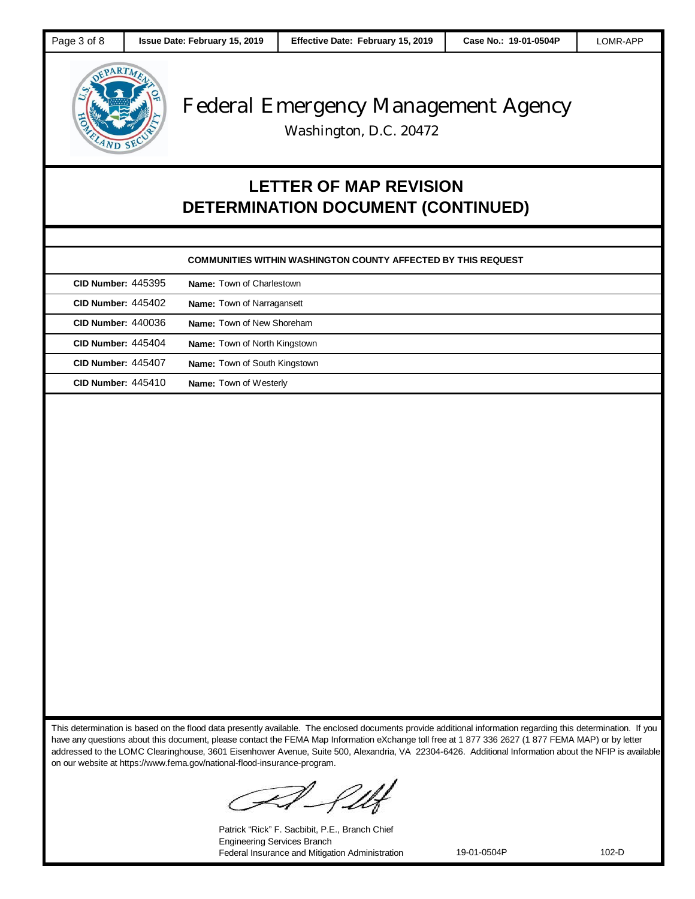

Washington, D.C. 20472

## **LETTER OF MAP REVISION DETERMINATION DOCUMENT (CONTINUED)**

| <b>CID Number: 445395</b> | Name: Town of Charlestown            |
|---------------------------|--------------------------------------|
| <b>CID Number: 445402</b> | <b>Name:</b> Town of Narragansett    |
| <b>CID Number: 440036</b> | <b>Name:</b> Town of New Shoreham    |
| <b>CID Number: 445404</b> | <b>Name:</b> Town of North Kingstown |
| <b>CID Number: 445407</b> | <b>Name:</b> Town of South Kingstown |
| <b>CID Number: 445410</b> | <b>Name:</b> Town of Westerly        |

This determination is based on the flood data presently available. The enclosed documents provide additional information regarding this determination. If you have any questions about this document, please contact the FEMA Map Information eXchange toll free at 1 877 336 2627 (1 877 FEMA MAP) or by letter addressed to the LOMC Clearinghouse, 3601 Eisenhower Avenue, Suite 500, Alexandria, VA 22304-6426. Additional Information about the NFIP is available on our website at https://www.fema.gov/national-flood-insurance-program.

Patrick "Rick" F. Sacbibit, P.E., Branch Chief Engineering Services Branch Federal Insurance and Mitigation Administration 19-01-0504P 102-D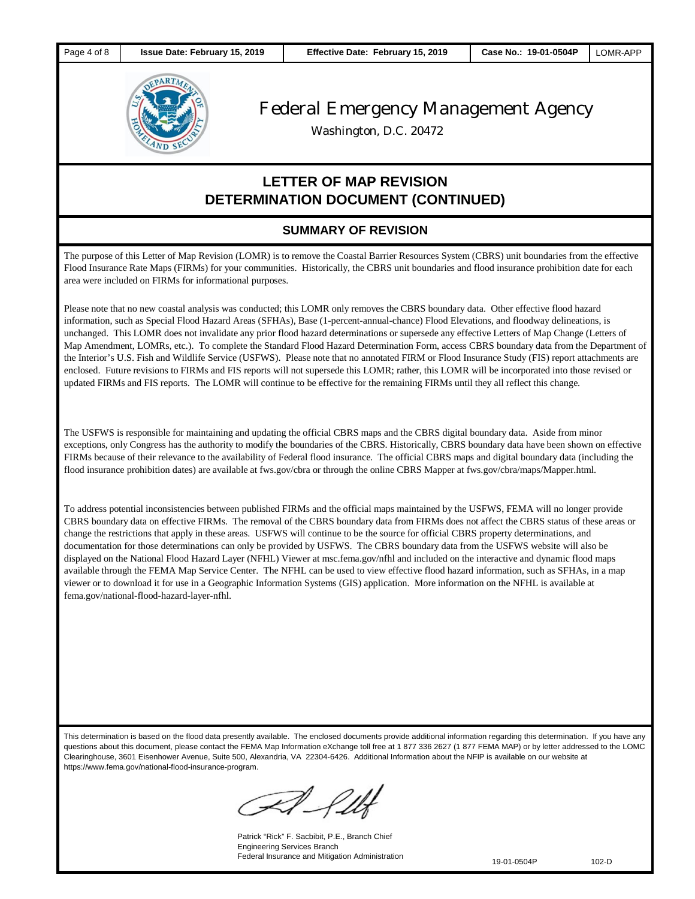

Washington, D.C. 20472

### **LETTER OF MAP REVISION DETERMINATION DOCUMENT (CONTINUED)**

#### **SUMMARY OF REVISION**

The purpose of this Letter of Map Revision (LOMR) is to remove the Coastal Barrier Resources System (CBRS) unit boundaries from the effective Flood Insurance Rate Maps (FIRMs) for your communities. Historically, the CBRS unit boundaries and flood insurance prohibition date for each area were included on FIRMs for informational purposes.

Please note that no new coastal analysis was conducted; this LOMR only removes the CBRS boundary data. Other effective flood hazard information, such as Special Flood Hazard Areas (SFHAs), Base (1-percent-annual-chance) Flood Elevations, and floodway delineations, is unchanged. This LOMR does not invalidate any prior flood hazard determinations or supersede any effective Letters of Map Change (Letters of Map Amendment, LOMRs, etc.). To complete the Standard Flood Hazard Determination Form, access CBRS boundary data from the Department of the Interior's U.S. Fish and Wildlife Service (USFWS). Please note that no annotated FIRM or Flood Insurance Study (FIS) report attachments are enclosed. Future revisions to FIRMs and FIS reports will not supersede this LOMR; rather, this LOMR will be incorporated into those revised or updated FIRMs and FIS reports. The LOMR will continue to be effective for the remaining FIRMs until they all reflect this change.

The USFWS is responsible for maintaining and updating the official CBRS maps and the CBRS digital boundary data. Aside from minor exceptions, only Congress has the authority to modify the boundaries of the CBRS. Historically, CBRS boundary data have been shown on effective FIRMs because of their relevance to the availability of Federal flood insurance. The official CBRS maps and digital boundary data (including the flood insurance prohibition dates) are available at fws.gov/cbra or through the online CBRS Mapper at fws.gov/cbra/maps/Mapper.html.

To address potential inconsistencies between published FIRMs and the official maps maintained by the USFWS, FEMA will no longer provide CBRS boundary data on effective FIRMs. The removal of the CBRS boundary data from FIRMs does not affect the CBRS status of these areas or change the restrictions that apply in these areas. USFWS will continue to be the source for official CBRS property determinations, and documentation for those determinations can only be provided by USFWS. The CBRS boundary data from the USFWS website will also be displayed on the National Flood Hazard Layer (NFHL) Viewer at msc.fema.gov/nfhl and included on the interactive and dynamic flood maps available through the FEMA Map Service Center. The NFHL can be used to view effective flood hazard information, such as SFHAs, in a map viewer or to download it for use in a Geographic Information Systems (GIS) application. More information on the NFHL is available at fema.gov/national-flood-hazard-layer-nfhl.

This determination is based on the flood data presently available. The enclosed documents provide additional information regarding this determination. If you have any questions about this document, please contact the FEMA Map Information eXchange toll free at 1 877 336 2627 (1 877 FEMA MAP) or by letter addressed to the LOMC Clearinghouse, 3601 Eisenhower Avenue, Suite 500, Alexandria, VA 22304-6426. Additional Information about the NFIP is available on our website at https://www.fema.gov/national-flood-insurance-program.

Patrick "Rick" F. Sacbibit, P.E., Branch Chief Engineering Services Branch Federal Insurance and Mitigation Administration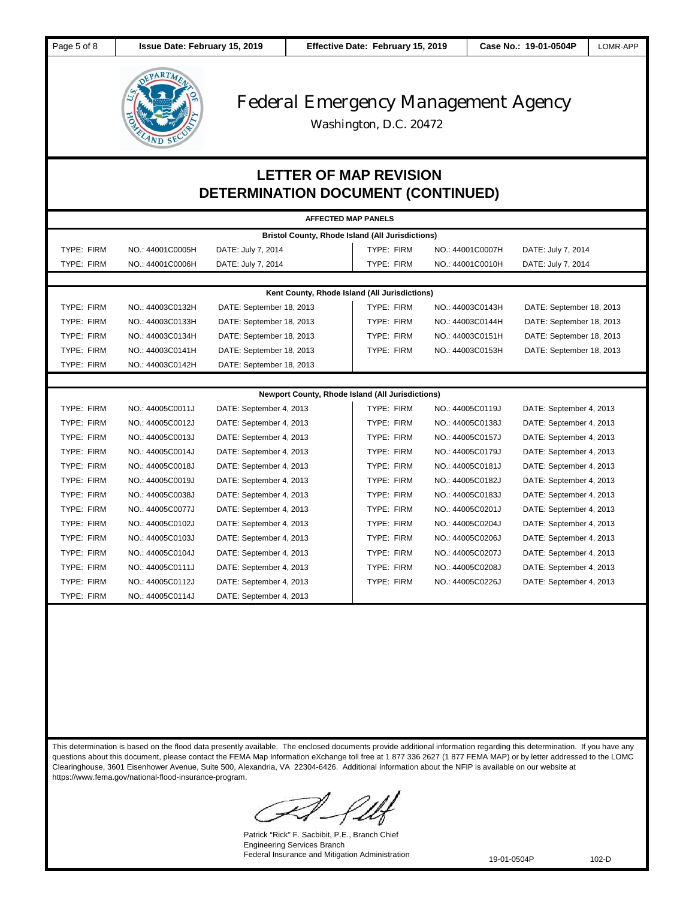

Washington, D.C. 20472

### **LETTER OF MAP REVISION DETERMINATION DOCUMENT (CONTINUED)**

| <b>AFFECTED MAP PANELS</b>                              |                  |                          |                   |                  |                          |  |  |
|---------------------------------------------------------|------------------|--------------------------|-------------------|------------------|--------------------------|--|--|
| <b>Bristol County, Rhode Island (All Jurisdictions)</b> |                  |                          |                   |                  |                          |  |  |
| <b>TYPE: FIRM</b>                                       | NO.: 44001C0005H | DATE: July 7, 2014       | TYPE: FIRM        | NO.: 44001C0007H | DATE: July 7, 2014       |  |  |
| <b>TYPE: FIRM</b>                                       | NO.: 44001C0006H | DATE: July 7, 2014       | <b>TYPE: FIRM</b> | NO.: 44001C0010H | DATE: July 7, 2014       |  |  |
|                                                         |                  |                          |                   |                  |                          |  |  |
| Kent County, Rhode Island (All Jurisdictions)           |                  |                          |                   |                  |                          |  |  |
| <b>TYPE: FIRM</b>                                       | NO.: 44003C0132H | DATE: September 18, 2013 | <b>TYPE: FIRM</b> | NO.: 44003C0143H | DATE: September 18, 2013 |  |  |
| <b>TYPE: FIRM</b>                                       | NO.: 44003C0133H | DATE: September 18, 2013 | <b>TYPE: FIRM</b> | NO.: 44003C0144H | DATE: September 18, 2013 |  |  |
| TYPE: FIRM                                              | NO.: 44003C0134H | DATE: September 18, 2013 | TYPE: FIRM        | NO.: 44003C0151H | DATE: September 18, 2013 |  |  |
| TYPE: FIRM                                              | NO.: 44003C0141H | DATE: September 18, 2013 | TYPE: FIRM        | NO.: 44003C0153H | DATE: September 18, 2013 |  |  |
| TYPE: FIRM                                              | NO.: 44003C0142H | DATE: September 18, 2013 |                   |                  |                          |  |  |
|                                                         |                  |                          |                   |                  |                          |  |  |
| Newport County, Rhode Island (All Jurisdictions)        |                  |                          |                   |                  |                          |  |  |
| <b>TYPE: FIRM</b>                                       | NO.: 44005C0011J | DATE: September 4, 2013  | TYPE: FIRM        | NO.: 44005C0119J | DATE: September 4, 2013  |  |  |
| <b>TYPE: FIRM</b>                                       | NO.: 44005C0012J | DATE: September 4, 2013  | TYPE: FIRM        | NO.: 44005C0138J | DATE: September 4, 2013  |  |  |
| <b>TYPE: FIRM</b>                                       | NO.: 44005C0013J | DATE: September 4, 2013  | <b>TYPE: FIRM</b> | NO.: 44005C0157J | DATE: September 4, 2013  |  |  |
| TYPE: FIRM                                              | NO.: 44005C0014J | DATE: September 4, 2013  | TYPE: FIRM        | NO.: 44005C0179J | DATE: September 4, 2013  |  |  |
| <b>TYPE: FIRM</b>                                       | NO.: 44005C0018J | DATE: September 4, 2013  | <b>TYPE: FIRM</b> | NO.: 44005C0181J | DATE: September 4, 2013  |  |  |
| <b>TYPE: FIRM</b>                                       | NO.: 44005C0019J | DATE: September 4, 2013  | TYPE: FIRM        | NO.: 44005C0182J | DATE: September 4, 2013  |  |  |
| TYPE: FIRM                                              | NO.: 44005C0038J | DATE: September 4, 2013  | TYPE: FIRM        | NO.: 44005C0183J | DATE: September 4, 2013  |  |  |
| <b>TYPE: FIRM</b>                                       | NO.: 44005C0077J | DATE: September 4, 2013  | <b>TYPE: FIRM</b> | NO.: 44005C0201J | DATE: September 4, 2013  |  |  |
| <b>TYPE: FIRM</b>                                       | NO.: 44005C0102J | DATE: September 4, 2013  | <b>TYPE: FIRM</b> | NO.: 44005C0204J | DATE: September 4, 2013  |  |  |
| TYPE: FIRM                                              | NO.: 44005C0103J | DATE: September 4, 2013  | <b>TYPE: FIRM</b> | NO.: 44005C0206J | DATE: September 4, 2013  |  |  |
| <b>TYPE: FIRM</b>                                       | NO.: 44005C0104J | DATE: September 4, 2013  | <b>TYPE: FIRM</b> | NO.: 44005C0207J | DATE: September 4, 2013  |  |  |
| TYPE: FIRM                                              | NO.: 44005C0111J | DATE: September 4, 2013  | TYPE: FIRM        | NO.: 44005C0208J | DATE: September 4, 2013  |  |  |
| TYPE: FIRM                                              | NO.: 44005C0112J | DATE: September 4, 2013  | <b>TYPE: FIRM</b> | NO.: 44005C0226J | DATE: September 4, 2013  |  |  |
| TYPE: FIRM                                              | NO.: 44005C0114J | DATE: September 4, 2013  |                   |                  |                          |  |  |

This determination is based on the flood data presently available. The enclosed documents provide additional information regarding this determination. If you have any questions about this document, please contact the FEMA Map Information eXchange toll free at 1 877 336 2627 (1 877 FEMA MAP) or by letter addressed to the LOMC Clearinghouse, 3601 Eisenhower Avenue, Suite 500, Alexandria, VA 22304-6426. Additional Information about the NFIP is available on our website at https://www.fema.gov/national-flood-insurance-program.

Patrick "Rick" F. Sacbibit, P.E., Branch Chief Engineering Services Branch Federal Insurance and Mitigation Administration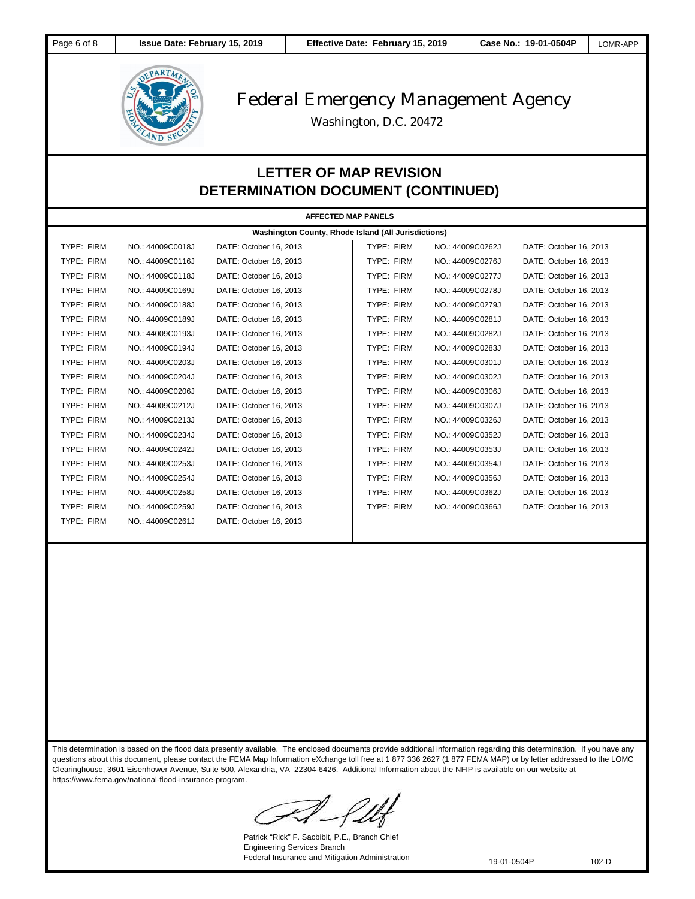

Washington, D.C. 20472

### **LETTER OF MAP REVISION DETERMINATION DOCUMENT (CONTINUED)**

| <b>AFFECTED MAP PANELS</b>                          |                  |                        |                   |                  |                        |  |
|-----------------------------------------------------|------------------|------------------------|-------------------|------------------|------------------------|--|
| Washington County, Rhode Island (All Jurisdictions) |                  |                        |                   |                  |                        |  |
| TYPE: FIRM                                          | NO.: 44009C0018J | DATE: October 16, 2013 | TYPE: FIRM        | NO.: 44009C0262J | DATE: October 16, 2013 |  |
| TYPE: FIRM                                          | NO.: 44009C0116J | DATE: October 16, 2013 | TYPE: FIRM        | NO.: 44009C0276J | DATE: October 16, 2013 |  |
| TYPE: FIRM                                          | NO.: 44009C0118J | DATE: October 16, 2013 | TYPE: FIRM        | NO.: 44009C0277J | DATE: October 16, 2013 |  |
| TYPE: FIRM                                          | NO.: 44009C0169J | DATE: October 16, 2013 | TYPE: FIRM        | NO.: 44009C0278J | DATE: October 16, 2013 |  |
| TYPE: FIRM                                          | NO.: 44009C0188J | DATE: October 16, 2013 | TYPE: FIRM        | NO.: 44009C0279J | DATE: October 16, 2013 |  |
| TYPE: FIRM                                          | NO.: 44009C0189J | DATE: October 16, 2013 | TYPE: FIRM        | NO.: 44009C0281J | DATE: October 16, 2013 |  |
| <b>TYPE: FIRM</b>                                   | NO.: 44009C0193J | DATE: October 16, 2013 | TYPE: FIRM        | NO.: 44009C0282J | DATE: October 16, 2013 |  |
| <b>TYPE: FIRM</b>                                   | NO.: 44009C0194J | DATE: October 16, 2013 | <b>TYPE: FIRM</b> | NO.: 44009C0283J | DATE: October 16, 2013 |  |
| TYPE: FIRM                                          | NO.: 44009C0203J | DATE: October 16, 2013 | TYPE: FIRM        | NO.: 44009C0301J | DATE: October 16, 2013 |  |
| TYPE: FIRM                                          | NO.: 44009C0204J | DATE: October 16, 2013 | TYPE: FIRM        | NO.: 44009C0302J | DATE: October 16, 2013 |  |
| TYPE: FIRM                                          | NO.: 44009C0206J | DATE: October 16, 2013 | TYPE: FIRM        | NO.: 44009C0306J | DATE: October 16, 2013 |  |
| TYPE: FIRM                                          | NO.: 44009C0212J | DATE: October 16, 2013 | TYPE: FIRM        | NO.: 44009C0307J | DATE: October 16, 2013 |  |
| TYPE: FIRM                                          | NO.: 44009C0213J | DATE: October 16, 2013 | TYPE: FIRM        | NO.: 44009C0326J | DATE: October 16, 2013 |  |
| TYPE: FIRM                                          | NO.: 44009C0234J | DATE: October 16, 2013 | <b>TYPE: FIRM</b> | NO.: 44009C0352J | DATE: October 16, 2013 |  |
| TYPE: FIRM                                          | NO.: 44009C0242J | DATE: October 16, 2013 | TYPE: FIRM        | NO.: 44009C0353J | DATE: October 16, 2013 |  |
| TYPE: FIRM                                          | NO.: 44009C0253J | DATE: October 16, 2013 | TYPE: FIRM        | NO.: 44009C0354J | DATE: October 16, 2013 |  |
| TYPE: FIRM                                          | NO.: 44009C0254J | DATE: October 16, 2013 | TYPE: FIRM        | NO.: 44009C0356J | DATE: October 16, 2013 |  |
| TYPE: FIRM                                          | NO.: 44009C0258J | DATE: October 16, 2013 | TYPE: FIRM        | NO.: 44009C0362J | DATE: October 16, 2013 |  |
| TYPE: FIRM                                          | NO.: 44009C0259J | DATE: October 16, 2013 | TYPE: FIRM        | NO.: 44009C0366J | DATE: October 16, 2013 |  |
| TYPE: FIRM                                          | NO.: 44009C0261J | DATE: October 16, 2013 |                   |                  |                        |  |
|                                                     |                  |                        |                   |                  |                        |  |

This determination is based on the flood data presently available. The enclosed documents provide additional information regarding this determination. If you have any questions about this document, please contact the FEMA Map Information eXchange toll free at 1 877 336 2627 (1 877 FEMA MAP) or by letter addressed to the LOMC Clearinghouse, 3601 Eisenhower Avenue, Suite 500, Alexandria, VA 22304-6426. Additional Information about the NFIP is available on our website at https://www.fema.gov/national-flood-insurance-program.

Patrick "Rick" F. Sacbibit, P.E., Branch Chief Engineering Services Branch Federal Insurance and Mitigation Administration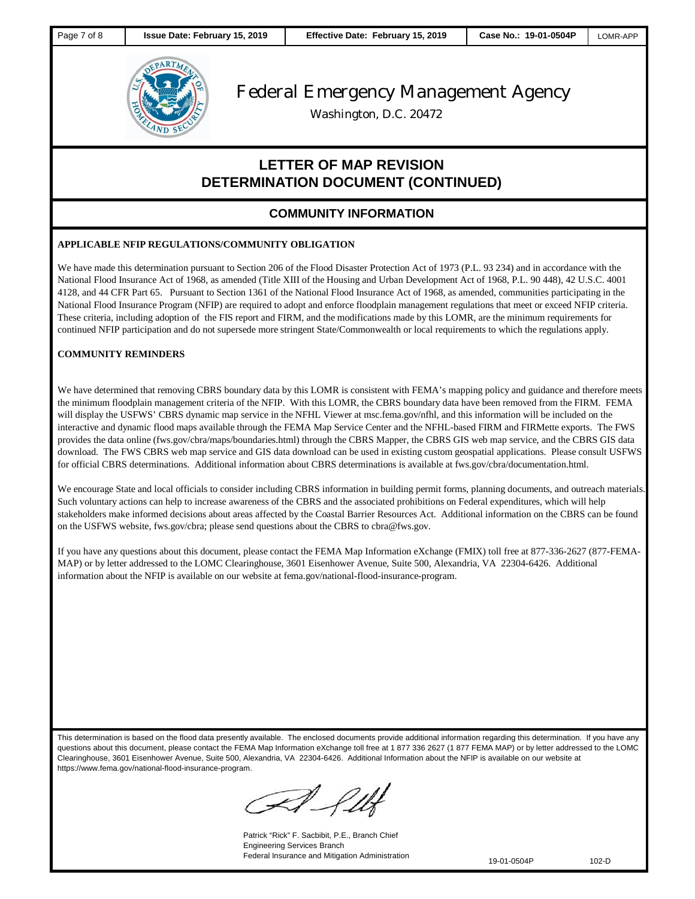

Washington, D.C. 20472

### **LETTER OF MAP REVISION DETERMINATION DOCUMENT (CONTINUED)**

### **COMMUNITY INFORMATION**

#### **APPLICABLE NFIP REGULATIONS/COMMUNITY OBLIGATION**

We have made this determination pursuant to Section 206 of the Flood Disaster Protection Act of 1973 (P.L. 93 234) and in accordance with the National Flood Insurance Act of 1968, as amended (Title XIII of the Housing and Urban Development Act of 1968, P.L. 90 448), 42 U.S.C. 4001 4128, and 44 CFR Part 65. Pursuant to Section 1361 of the National Flood Insurance Act of 1968, as amended, communities participating in the National Flood Insurance Program (NFIP) are required to adopt and enforce floodplain management regulations that meet or exceed NFIP criteria. These criteria, including adoption of the FIS report and FIRM, and the modifications made by this LOMR, are the minimum requirements for continued NFIP participation and do not supersede more stringent State/Commonwealth or local requirements to which the regulations apply.

#### **COMMUNITY REMINDERS**

We have determined that removing CBRS boundary data by this LOMR is consistent with FEMA's mapping policy and guidance and therefore meets the minimum floodplain management criteria of the NFIP. With this LOMR, the CBRS boundary data have been removed from the FIRM. FEMA will display the USFWS' CBRS dynamic map service in the NFHL Viewer at msc.fema.gov/nfhl, and this information will be included on the interactive and dynamic flood maps available through the FEMA Map Service Center and the NFHL-based FIRM and FIRMette exports. The FWS provides the data online (fws.gov/cbra/maps/boundaries.html) through the CBRS Mapper, the CBRS GIS web map service, and the CBRS GIS data download. The FWS CBRS web map service and GIS data download can be used in existing custom geospatial applications. Please consult USFWS for official CBRS determinations. Additional information about CBRS determinations is available at fws.gov/cbra/documentation.html.

We encourage State and local officials to consider including CBRS information in building permit forms, planning documents, and outreach materials. Such voluntary actions can help to increase awareness of the CBRS and the associated prohibitions on Federal expenditures, which will help stakeholders make informed decisions about areas affected by the Coastal Barrier Resources Act. Additional information on the CBRS can be found on the USFWS website, fws.gov/cbra; please send questions about the CBRS to cbra@fws.gov.

If you have any questions about this document, please contact the FEMA Map Information eXchange (FMIX) toll free at 877-336-2627 (877-FEMA-MAP) or by letter addressed to the LOMC Clearinghouse, 3601 Eisenhower Avenue, Suite 500, Alexandria, VA 22304-6426. Additional information about the NFIP is available on our website at fema.gov/national-flood-insurance-program.

This determination is based on the flood data presently available. The enclosed documents provide additional information regarding this determination. If you have any questions about this document, please contact the FEMA Map Information eXchange toll free at 1 877 336 2627 (1 877 FEMA MAP) or by letter addressed to the LOMC Clearinghouse, 3601 Eisenhower Avenue, Suite 500, Alexandria, VA 22304-6426. Additional Information about the NFIP is available on our website at https://www.fema.gov/national-flood-insurance-program.

Patrick "Rick" F. Sacbibit, P.E., Branch Chief Engineering Services Branch Federal Insurance and Mitigation Administration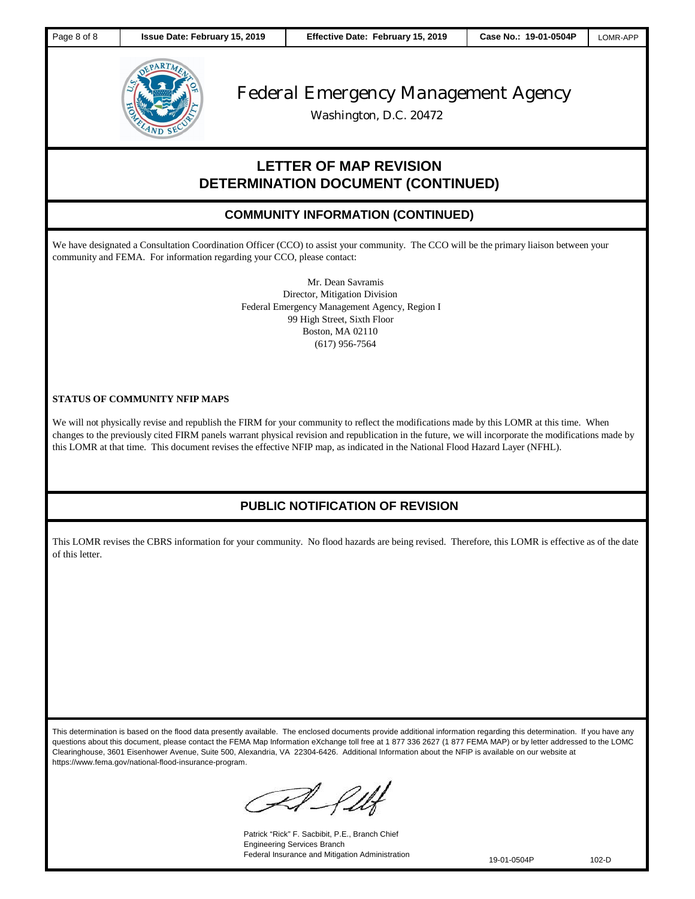

Washington, D.C. 20472

### **LETTER OF MAP REVISION DETERMINATION DOCUMENT (CONTINUED)**

#### **COMMUNITY INFORMATION (CONTINUED)**

We have designated a Consultation Coordination Officer (CCO) to assist your community. The CCO will be the primary liaison between your community and FEMA. For information regarding your CCO, please contact:

> Mr. Dean Savramis Director, Mitigation Division Federal Emergency Management Agency, Region I 99 High Street, Sixth Floor Boston, MA 02110 (617) 956-7564

#### **STATUS OF COMMUNITY NFIP MAPS**

**PUBLIC NOTICE OF REVISION**

We will not physically revise and republish the FIRM for your community to reflect the modifications made by this LOMR at this time. When changes to the previously cited FIRM panels warrant physical revision and republication in the future, we will incorporate the modifications made by this LOMR at that time. This document revises the effective NFIP map, as indicated in the National Flood Hazard Layer (NFHL).

### **PUBLIC NOTIFICATION OF REVISION**

This LOMR revises the CBRS information for your community. No flood hazards are being revised. Therefore, this LOMR is effective as of the date of this letter.

This determination is based on the flood data presently available. The enclosed documents provide additional information regarding this determination. If you have any questions about this document, please contact the FEMA Map Information eXchange toll free at 1 877 336 2627 (1 877 FEMA MAP) or by letter addressed to the LOMC Clearinghouse, 3601 Eisenhower Avenue, Suite 500, Alexandria, VA 22304-6426. Additional Information about the NFIP is available on our website at https://www.fema.gov/national-flood-insurance-program.

A flbr

Patrick "Rick" F. Sacbibit, P.E., Branch Chief Engineering Services Branch Federal Insurance and Mitigation Administration